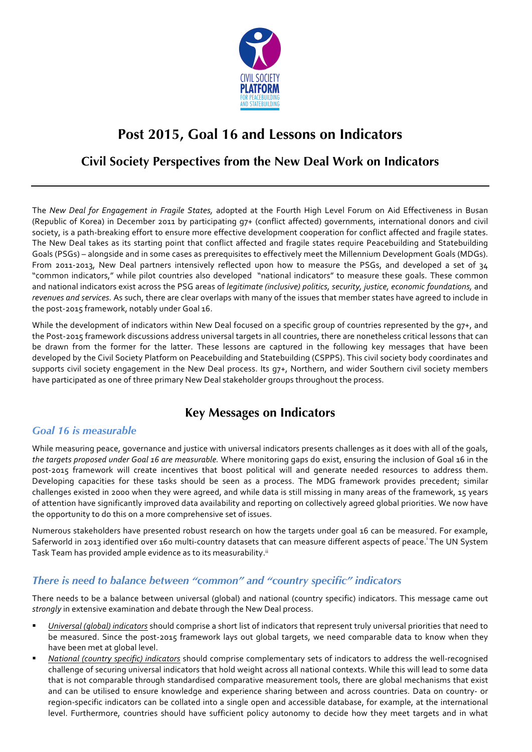

# **Post 2015, Goal 16 and Lessons on Indicators**

# **Civil Society Perspectives from the New Deal Work on Indicators**

The *New Deal for Engagement in Fragile States*, adopted at the Fourth High Level Forum on Aid Effectiveness in Busan (Republic of Korea) in December 2011 by participating  $q7+$  (conflict affected) governments, international donors and civil society, is a path-breaking effort to ensure more effective development cooperation for conflict affected and fragile states. The New Deal takes as its starting point that conflict affected and fragile states require Peacebuilding and Statebuilding Goals (PSGs) – alongside and in some cases as prerequisites to effectively meet the Millennium Development Goals (MDGs). From 2011-2013, New Deal partners intensively reflected upon how to measure the PSGs, and developed a set of  $34$ "common indicators," while pilot countries also developed "national indicators" to measure these goals. These common and national indicators exist across the PSG areas of *legitimate (inclusive) politics, security, justice, economic foundations,* and revenues and services. As such, there are clear overlaps with many of the issues that member states have agreed to include in the post-2015 framework, notably under Goal 16.

While the development of indicators within New Deal focused on a specific group of countries represented by the g7+, and the Post-2015 framework discussions address universal targets in all countries, there are nonetheless critical lessons that can be drawn from the former for the latter. These lessons are captured in the following key messages that have been developed by the Civil Society Platform on Peacebuilding and Statebuilding (CSPPS). This civil society body coordinates and supports civil society engagement in the New Deal process. Its q7+, Northern, and wider Southern civil society members have participated as one of three primary New Deal stakeholder groups throughout the process.

## **Key Messages on Indicators**

#### *Goal 16 is measurable*

While measuring peace, governance and justice with universal indicators presents challenges as it does with all of the goals, *the targets proposed under Goal 16 are measurable.* Where monitoring gaps do exist, ensuring the inclusion of Goal 16 in the post-2015 framework will create incentives that boost political will and generate needed resources to address them. Developing capacities for these tasks should be seen as a process. The MDG framework provides precedent; similar challenges existed in 2000 when they were agreed, and while data is still missing in many areas of the framework, 15 years of attention have significantly improved data availability and reporting on collectively agreed global priorities. We now have the opportunity to do this on a more comprehensive set of issues.

Numerous stakeholders have presented robust research on how the targets under goal 16 can be measured. For example, Saferworld in 2013 identified over 160 multi-country datasets that can measure different aspects of peace. The UN System Task Team has provided ample evidence as to its measurability.<sup>ii</sup>

#### *There is need to balance between "common" and "country specific" indicators*

There needs to be a balance between universal (global) and national (country specific) indicators. This message came out *strongly* in extensive examination and debate through the New Deal process.

- *Universal (global) indicators* should comprise a short list of indicators that represent truly universal priorities that need to be measured. Since the post-2015 framework lays out global targets, we need comparable data to know when they have been met at global level.
- *National (country specific) indicators* should comprise complementary sets of indicators to address the well-recognised challenge of securing universal indicators that hold weight across all national contexts. While this will lead to some data that is not comparable through standardised comparative measurement tools, there are global mechanisms that exist and can be utilised to ensure knowledge and experience sharing between and across countries. Data on country- or region-specific indicators can be collated into a single open and accessible database, for example, at the international level. Furthermore, countries should have sufficient policy autonomy to decide how they meet targets and in what